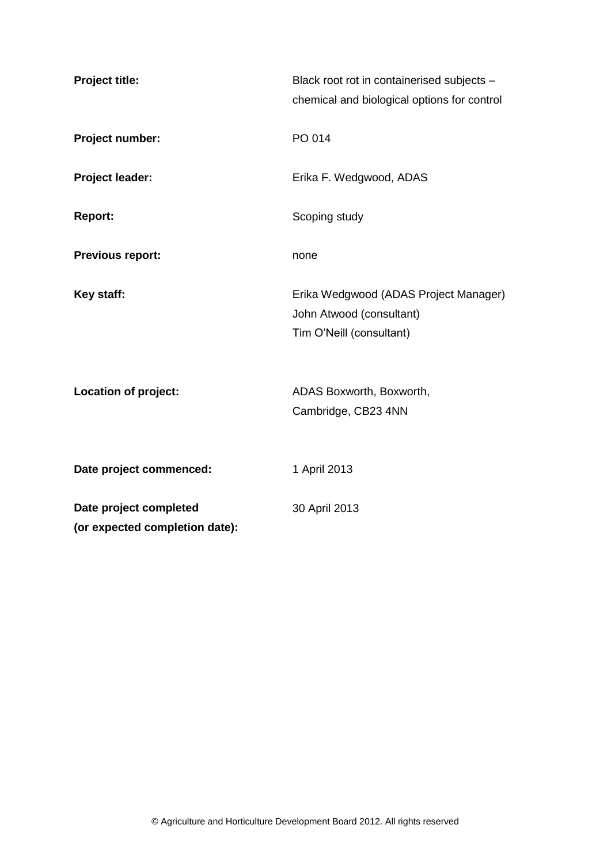| <b>Project title:</b>                                    | Black root rot in containerised subjects -<br>chemical and biological options for control     |
|----------------------------------------------------------|-----------------------------------------------------------------------------------------------|
| Project number:                                          | PO 014                                                                                        |
| Project leader:                                          | Erika F. Wedgwood, ADAS                                                                       |
| <b>Report:</b>                                           | Scoping study                                                                                 |
| <b>Previous report:</b>                                  | none                                                                                          |
| Key staff:                                               | Erika Wedgwood (ADAS Project Manager)<br>John Atwood (consultant)<br>Tim O'Neill (consultant) |
| <b>Location of project:</b>                              | ADAS Boxworth, Boxworth,<br>Cambridge, CB23 4NN                                               |
| Date project commenced:                                  | 1 April 2013                                                                                  |
| Date project completed<br>(or expected completion date): | 30 April 2013                                                                                 |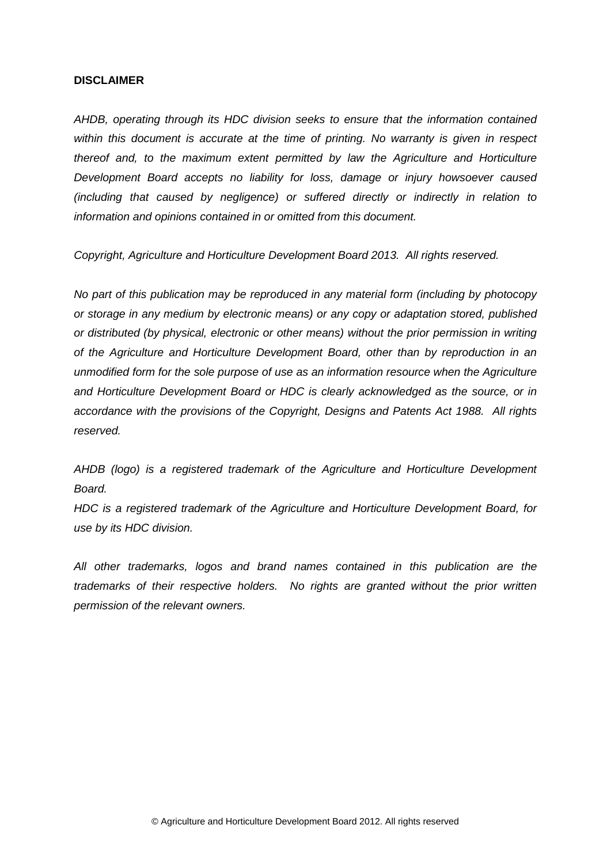#### **DISCLAIMER**

*AHDB, operating through its HDC division seeks to ensure that the information contained within this document is accurate at the time of printing. No warranty is given in respect thereof and, to the maximum extent permitted by law the Agriculture and Horticulture Development Board accepts no liability for loss, damage or injury howsoever caused (including that caused by negligence) or suffered directly or indirectly in relation to information and opinions contained in or omitted from this document.* 

*Copyright, Agriculture and Horticulture Development Board 2013. All rights reserved.*

*No part of this publication may be reproduced in any material form (including by photocopy or storage in any medium by electronic means) or any copy or adaptation stored, published or distributed (by physical, electronic or other means) without the prior permission in writing of the Agriculture and Horticulture Development Board, other than by reproduction in an unmodified form for the sole purpose of use as an information resource when the Agriculture and Horticulture Development Board or HDC is clearly acknowledged as the source, or in accordance with the provisions of the Copyright, Designs and Patents Act 1988. All rights reserved.*

*AHDB (logo) is a registered trademark of the Agriculture and Horticulture Development Board.*

*HDC is a registered trademark of the Agriculture and Horticulture Development Board, for use by its HDC division.*

*All other trademarks, logos and brand names contained in this publication are the trademarks of their respective holders. No rights are granted without the prior written permission of the relevant owners.*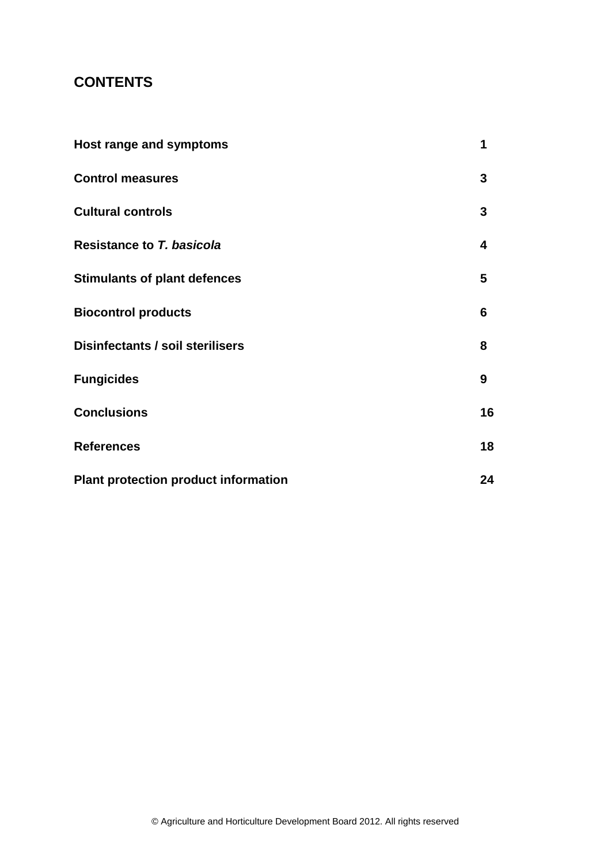## **CONTENTS**

| Host range and symptoms                     | 1  |
|---------------------------------------------|----|
| <b>Control measures</b>                     | 3  |
| <b>Cultural controls</b>                    | 3  |
| <b>Resistance to T. basicola</b>            | 4  |
| <b>Stimulants of plant defences</b>         | 5  |
| <b>Biocontrol products</b>                  | 6  |
| Disinfectants / soil sterilisers            | 8  |
| <b>Fungicides</b>                           | 9  |
| <b>Conclusions</b>                          | 16 |
| <b>References</b>                           | 18 |
| <b>Plant protection product information</b> | 24 |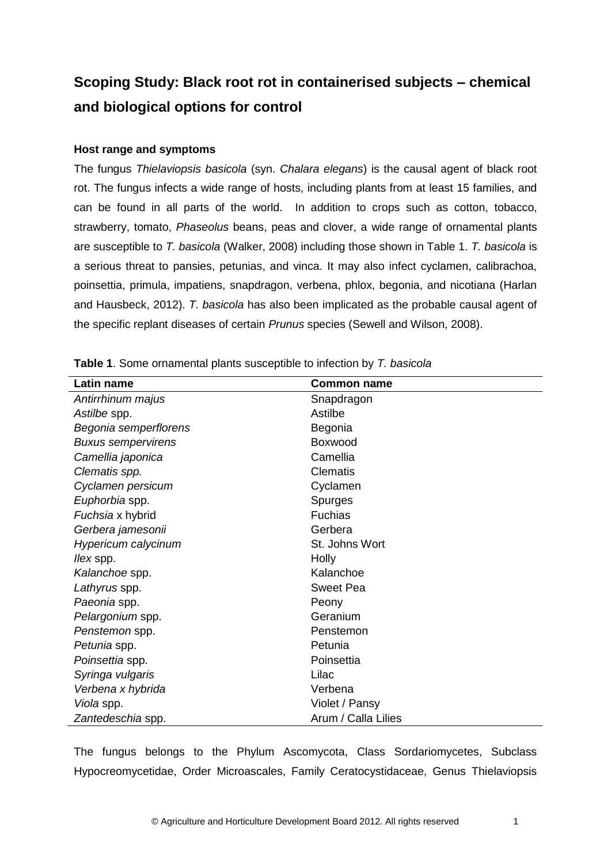# **Scoping Study: Black root rot in containerised subjects – chemical and biological options for control**

## **Host range and symptoms**

The fungus *Thielaviopsis basicola* (syn. *Chalara elegans*) is the causal agent of black root rot. The fungus infects a wide range of hosts, including plants from at least 15 families, and can be found in all parts of the world. In addition to crops such as cotton, tobacco, strawberry, tomato, *Phaseolus* beans, peas and clover, a wide range of ornamental plants are susceptible to *T. basicola* (Walker, 2008) including those shown in Table 1. *T. basicola* is a serious threat to pansies, petunias, and vinca. It may also infect cyclamen, calibrachoa, poinsettia, primula, impatiens, snapdragon, verbena, phlox, begonia, and nicotiana (Harlan and Hausbeck, 2012). *T. basicola* has also been implicated as the probable causal agent of the specific replant diseases of certain *Prunus* species (Sewell and Wilson, 2008).

| Latin name                | <b>Common name</b>  |
|---------------------------|---------------------|
| Antirrhinum majus         | Snapdragon          |
| Astilbe spp.              | Astilbe             |
| Begonia semperflorens     | Begonia             |
| <b>Buxus sempervirens</b> | Boxwood             |
| Camellia japonica         | Camellia            |
| Clematis spp.             | <b>Clematis</b>     |
| Cyclamen persicum         | Cyclamen            |
| Euphorbia spp.            | <b>Spurges</b>      |
| Fuchsia x hybrid          | Fuchias             |
| Gerbera jamesonii         | Gerbera             |
| Hypericum calycinum       | St. Johns Wort      |
| <i>llex</i> spp.          | Holly               |
| Kalanchoe spp.            | Kalanchoe           |
| Lathyrus spp.             | <b>Sweet Pea</b>    |
| Paeonia spp.              | Peony               |
| Pelargonium spp.          | Geranium            |
| Penstemon spp.            | Penstemon           |
| Petunia spp.              | Petunia             |
| Poinsettia spp.           | Poinsettia          |
| Syringa vulgaris          | Lilac               |
| Verbena x hybrida         | Verbena             |
| Viola spp.                | Violet / Pansy      |
| Zantedeschia spp.         | Arum / Calla Lilies |

**Table 1**. Some ornamental plants susceptible to infection by *T. basicola*

The fungus belongs to the Phylum Ascomycota, Class Sordariomycetes, Subclass Hypocreomycetidae, Order Microascales, Family Ceratocystidaceae, Genus Thielaviopsis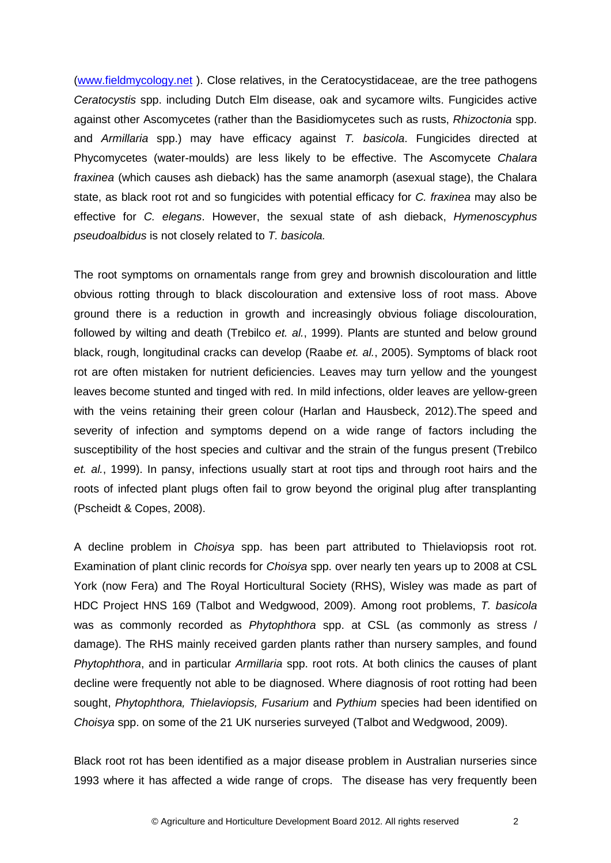[\(www.fieldmycology.net](http://www.fieldmycology.net/) ). Close relatives, in the Ceratocystidaceae, are the tree pathogens *Ceratocystis* spp. including Dutch Elm disease, oak and sycamore wilts. Fungicides active against other Ascomycetes (rather than the Basidiomycetes such as rusts, *Rhizoctonia* spp. and *Armillaria* spp.) may have efficacy against *T. basicola*. Fungicides directed at Phycomycetes (water-moulds) are less likely to be effective. The Ascomycete *Chalara fraxinea* (which causes ash dieback) has the same anamorph (asexual stage), the Chalara state, as black root rot and so fungicides with potential efficacy for *C. fraxinea* may also be effective for *C. elegans*. However, the sexual state of ash dieback, *Hymenoscyphus pseudoalbidus* is not closely related to *T. basicola.*

The root symptoms on ornamentals range from grey and brownish discolouration and little obvious rotting through to black discolouration and extensive loss of root mass. Above ground there is a reduction in growth and increasingly obvious foliage discolouration, followed by wilting and death (Trebilco *et. al.*, 1999). Plants are stunted and below ground black, rough, longitudinal cracks can develop (Raabe *et. al.*, 2005). Symptoms of black root rot are often mistaken for nutrient deficiencies. Leaves may turn yellow and the youngest leaves become stunted and tinged with red. In mild infections, older leaves are yellow-green with the veins retaining their green colour (Harlan and Hausbeck, 2012).The speed and severity of infection and symptoms depend on a wide range of factors including the susceptibility of the host species and cultivar and the strain of the fungus present (Trebilco *et. al.*, 1999). In pansy, infections usually start at root tips and through root hairs and the roots of infected plant plugs often fail to grow beyond the original plug after transplanting (Pscheidt & Copes, 2008).

A decline problem in *Choisya* spp. has been part attributed to Thielaviopsis root rot. Examination of plant clinic records for *Choisya* spp. over nearly ten years up to 2008 at CSL York (now Fera) and The Royal Horticultural Society (RHS), Wisley was made as part of HDC Project HNS 169 (Talbot and Wedgwood, 2009). Among root problems, *T. basicola* was as commonly recorded as *Phytophthora* spp. at CSL (as commonly as stress / damage). The RHS mainly received garden plants rather than nursery samples, and found *Phytophthora*, and in particular *Armillaria* spp. root rots. At both clinics the causes of plant decline were frequently not able to be diagnosed. Where diagnosis of root rotting had been sought, *Phytophthora, Thielaviopsis, Fusarium* and *Pythium* species had been identified on *Choisya* spp. on some of the 21 UK nurseries surveyed (Talbot and Wedgwood, 2009).

Black root rot has been identified as a major disease problem in Australian nurseries since 1993 where it has affected a wide range of crops. The disease has very frequently been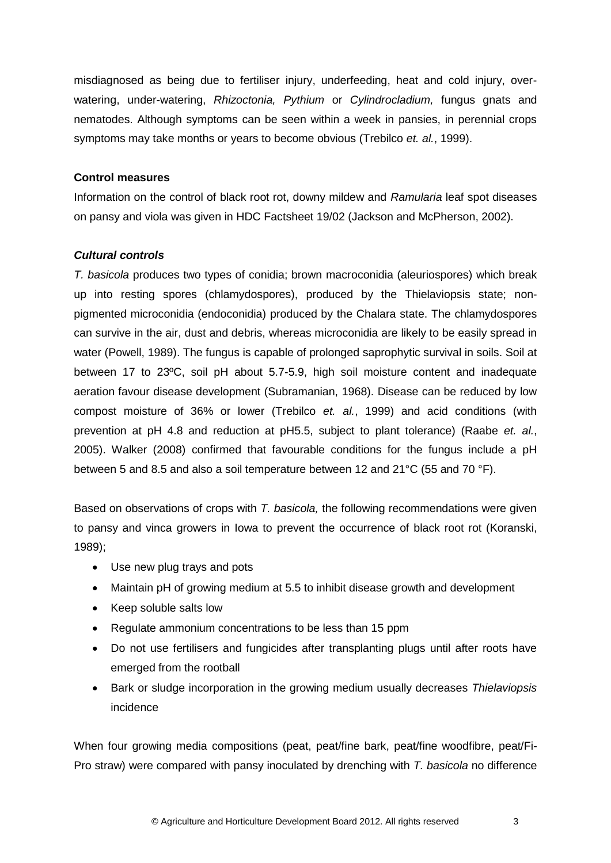misdiagnosed as being due to fertiliser injury, underfeeding, heat and cold injury, overwatering, under-watering, *Rhizoctonia, Pythium* or *Cylindrocladium,* fungus gnats and nematodes. Although symptoms can be seen within a week in pansies, in perennial crops symptoms may take months or years to become obvious (Trebilco *et. al.*, 1999).

## **Control measures**

Information on the control of black root rot, downy mildew and *Ramularia* leaf spot diseases on pansy and viola was given in HDC Factsheet 19/02 (Jackson and McPherson, 2002).

## *Cultural controls*

*T. basicola* produces two types of conidia; brown macroconidia (aleuriospores) which break up into resting spores (chlamydospores), produced by the Thielaviopsis state; nonpigmented microconidia (endoconidia) produced by the Chalara state. The chlamydospores can survive in the air, dust and debris, whereas microconidia are likely to be easily spread in water (Powell, 1989). The fungus is capable of prolonged saprophytic survival in soils. Soil at between 17 to 23ºC, soil pH about 5.7-5.9, high soil moisture content and inadequate aeration favour disease development (Subramanian, 1968). Disease can be reduced by low compost moisture of 36% or lower (Trebilco *et. al.*, 1999) and acid conditions (with prevention at pH 4.8 and reduction at pH5.5, subject to plant tolerance) (Raabe *et. al.*, 2005). Walker (2008) confirmed that favourable conditions for the fungus include a pH between 5 and 8.5 and also a soil temperature between 12 and 21°C (55 and 70 °F).

Based on observations of crops with *T. basicola,* the following recommendations were given to pansy and vinca growers in Iowa to prevent the occurrence of black root rot (Koranski, 1989);

- Use new plug trays and pots
- Maintain pH of growing medium at 5.5 to inhibit disease growth and development
- Keep soluble salts low
- Regulate ammonium concentrations to be less than 15 ppm
- Do not use fertilisers and fungicides after transplanting plugs until after roots have emerged from the rootball
- Bark or sludge incorporation in the growing medium usually decreases *Thielaviopsis* incidence

When four growing media compositions (peat, peat/fine bark, peat/fine woodfibre, peat/Fi-Pro straw) were compared with pansy inoculated by drenching with *T. basicola* no difference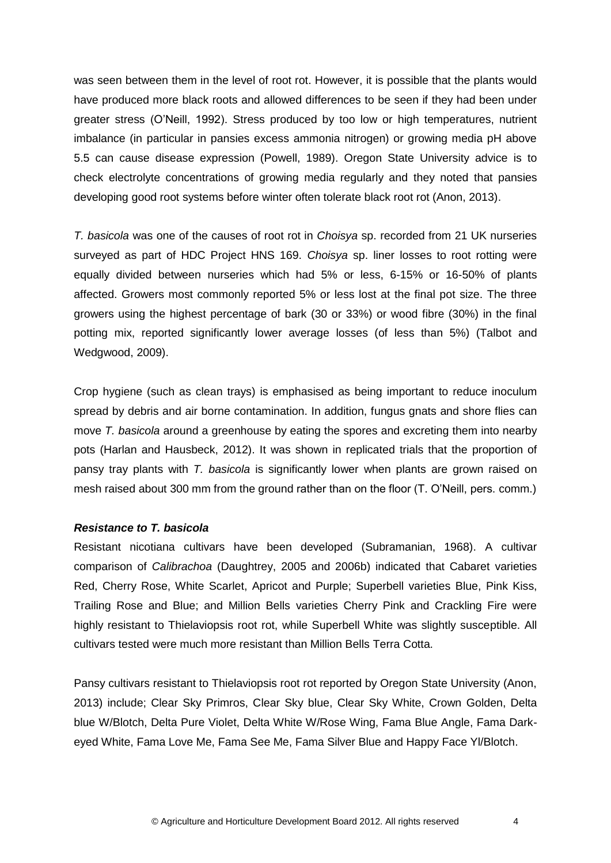was seen between them in the level of root rot. However, it is possible that the plants would have produced more black roots and allowed differences to be seen if they had been under greater stress (O'Neill, 1992). Stress produced by too low or high temperatures, nutrient imbalance (in particular in pansies excess ammonia nitrogen) or growing media pH above 5.5 can cause disease expression (Powell, 1989). Oregon State University advice is to check electrolyte concentrations of growing media regularly and they noted that pansies developing good root systems before winter often tolerate black root rot (Anon, 2013).

*T. basicola* was one of the causes of root rot in *Choisya* sp. recorded from 21 UK nurseries surveyed as part of HDC Project HNS 169. *Choisya* sp. liner losses to root rotting were equally divided between nurseries which had 5% or less, 6-15% or 16-50% of plants affected. Growers most commonly reported 5% or less lost at the final pot size. The three growers using the highest percentage of bark (30 or 33%) or wood fibre (30%) in the final potting mix, reported significantly lower average losses (of less than 5%) (Talbot and Wedgwood, 2009).

Crop hygiene (such as clean trays) is emphasised as being important to reduce inoculum spread by debris and air borne contamination. In addition, fungus gnats and shore flies can move *T. basicola* around a greenhouse by eating the spores and excreting them into nearby pots (Harlan and Hausbeck, 2012). It was shown in replicated trials that the proportion of pansy tray plants with *T. basicola* is significantly lower when plants are grown raised on mesh raised about 300 mm from the ground rather than on the floor (T. O'Neill, pers. comm.)

#### *Resistance to T. basicola*

Resistant nicotiana cultivars have been developed (Subramanian, 1968). A cultivar comparison of *Calibrachoa* (Daughtrey, 2005 and 2006b) indicated that Cabaret varieties Red, Cherry Rose, White Scarlet, Apricot and Purple; Superbell varieties Blue, Pink Kiss, Trailing Rose and Blue; and Million Bells varieties Cherry Pink and Crackling Fire were highly resistant to Thielaviopsis root rot, while Superbell White was slightly susceptible. All cultivars tested were much more resistant than Million Bells Terra Cotta.

Pansy cultivars resistant to Thielaviopsis root rot reported by Oregon State University (Anon, 2013) include; Clear Sky Primros, Clear Sky blue, Clear Sky White, Crown Golden, Delta blue W/Blotch, Delta Pure Violet, Delta White W/Rose Wing, Fama Blue Angle, Fama Darkeyed White, Fama Love Me, Fama See Me, Fama Silver Blue and Happy Face Yl/Blotch.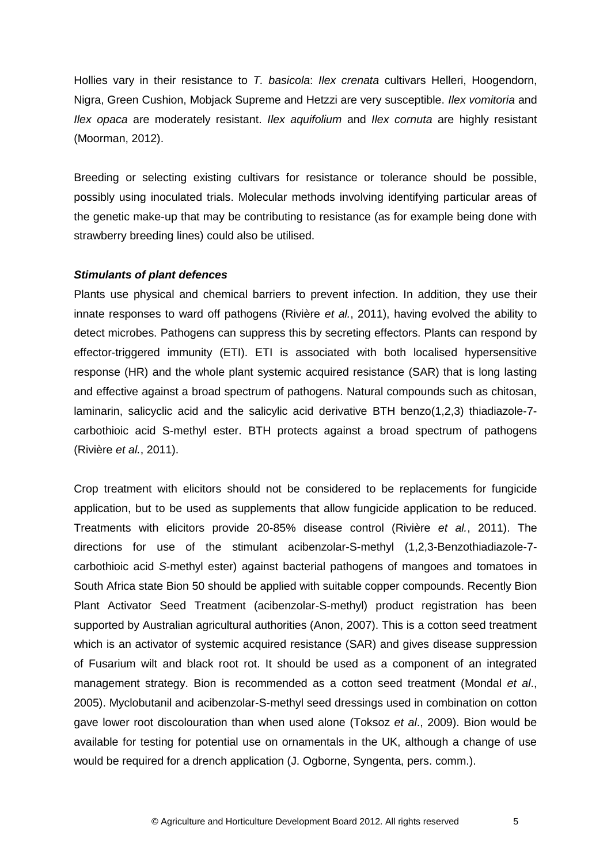Hollies vary in their resistance to *T. basicola*: *Ilex crenata* cultivars Helleri, Hoogendorn, Nigra, Green Cushion, Mobjack Supreme and Hetzzi are very susceptible. *Ilex vomitoria* and *Ilex opaca* are moderately resistant. *Ilex aquifolium* and *Ilex cornuta* are highly resistant (Moorman, 2012).

Breeding or selecting existing cultivars for resistance or tolerance should be possible, possibly using inoculated trials. Molecular methods involving identifying particular areas of the genetic make-up that may be contributing to resistance (as for example being done with strawberry breeding lines) could also be utilised.

#### *Stimulants of plant defences*

Plants use physical and chemical barriers to prevent infection. In addition, they use their innate responses to ward off pathogens (Rivière *et al.*, 2011), having evolved the ability to detect microbes. Pathogens can suppress this by secreting effectors. Plants can respond by effector-triggered immunity (ETI). ETI is associated with both localised hypersensitive response (HR) and the whole plant systemic acquired resistance (SAR) that is long lasting and effective against a broad spectrum of pathogens. Natural compounds such as chitosan, laminarin, salicyclic acid and the salicylic acid derivative BTH benzo(1,2,3) thiadiazole-7 carbothioic acid S-methyl ester. BTH protects against a broad spectrum of pathogens (Rivière *et al.*, 2011).

Crop treatment with elicitors should not be considered to be replacements for fungicide application, but to be used as supplements that allow fungicide application to be reduced. Treatments with elicitors provide 20-85% disease control (Rivière *et al.*, 2011). The directions for use of the stimulant acibenzolar-S-methyl (1,2,3-Benzothiadiazole-7 carbothioic acid *S*-methyl ester) against bacterial pathogens of mangoes and tomatoes in South Africa state Bion 50 should be applied with suitable copper compounds. Recently Bion Plant Activator Seed Treatment (acibenzolar-S-methyl) product registration has been supported by Australian agricultural authorities (Anon, 2007). This is a cotton seed treatment which is an activator of systemic acquired resistance (SAR) and gives disease suppression of Fusarium wilt and black root rot. It should be used as a component of an integrated management strategy. Bion is recommended as a cotton seed treatment (Mondal *et al*., 2005). Myclobutanil and acibenzolar-S-methyl seed dressings used in combination on cotton gave lower root discolouration than when used alone (Toksoz *et al*., 2009). Bion would be available for testing for potential use on ornamentals in the UK, although a change of use would be required for a drench application (J. Ogborne, Syngenta, pers. comm.).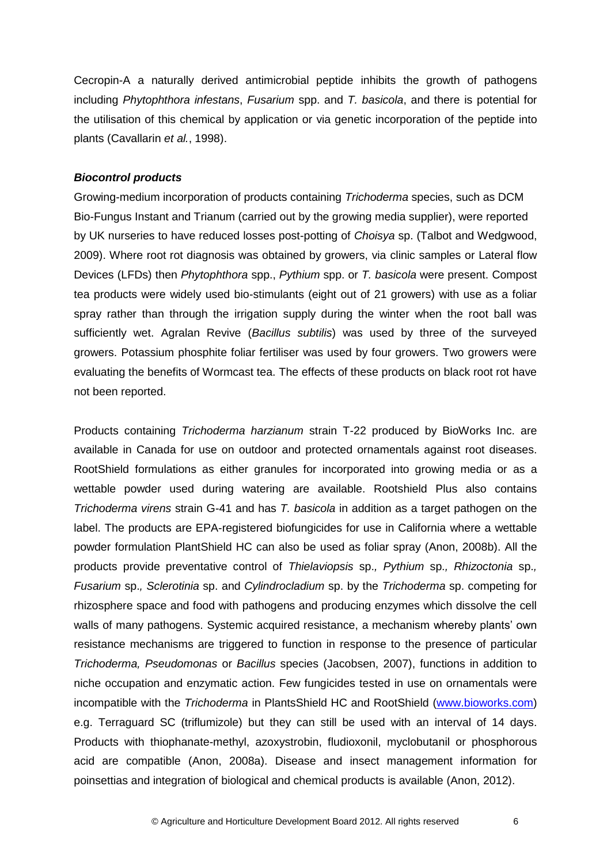Cecropin-A a naturally derived antimicrobial peptide inhibits the growth of pathogens including *Phytophthora infestans*, *Fusarium* spp. and *T. basicola*, and there is potential for the utilisation of this chemical by application or via genetic incorporation of the peptide into plants (Cavallarin *et al.*, 1998).

#### *Biocontrol products*

Growing-medium incorporation of products containing *Trichoderma* species, such as DCM Bio-Fungus Instant and Trianum (carried out by the growing media supplier), were reported by UK nurseries to have reduced losses post-potting of *Choisya* sp. (Talbot and Wedgwood, 2009). Where root rot diagnosis was obtained by growers, via clinic samples or Lateral flow Devices (LFDs) then *Phytophthora* spp., *Pythium* spp. or *T. basicola* were present. Compost tea products were widely used bio-stimulants (eight out of 21 growers) with use as a foliar spray rather than through the irrigation supply during the winter when the root ball was sufficiently wet. Agralan Revive (*Bacillus subtilis*) was used by three of the surveyed growers. Potassium phosphite foliar fertiliser was used by four growers. Two growers were evaluating the benefits of Wormcast tea. The effects of these products on black root rot have not been reported.

Products containing *Trichoderma harzianum* strain T-22 produced by BioWorks Inc. are available in Canada for use on outdoor and protected ornamentals against root diseases. RootShield formulations as either granules for incorporated into growing media or as a wettable powder used during watering are available. Rootshield Plus also contains *Trichoderma virens* strain G-41 and has *T. basicola* in addition as a target pathogen on the label. The products are EPA-registered biofungicides for use in California where a wettable powder formulation PlantShield HC can also be used as foliar spray (Anon, 2008b). All the products provide preventative control of *Thielaviopsis* sp.*, Pythium* sp.*, Rhizoctonia* sp.*, Fusarium* sp.*, Sclerotinia* sp. and *Cylindrocladium* sp. by the *Trichoderma* sp. competing for rhizosphere space and food with pathogens and producing enzymes which dissolve the cell walls of many pathogens. Systemic acquired resistance, a mechanism whereby plants' own resistance mechanisms are triggered to function in response to the presence of particular *Trichoderma, Pseudomonas* or *Bacillus* species (Jacobsen, 2007), functions in addition to niche occupation and enzymatic action. Few fungicides tested in use on ornamentals were incompatible with the *Trichoderma* in PlantsShield HC and RootShield [\(www.bioworks.com\)](http://www.bioworks.com/) e.g. Terraguard SC (triflumizole) but they can still be used with an interval of 14 days. Products with thiophanate-methyl, azoxystrobin, fludioxonil, myclobutanil or phosphorous acid are compatible (Anon, 2008a). Disease and insect management information for poinsettias and integration of biological and chemical products is available (Anon, 2012).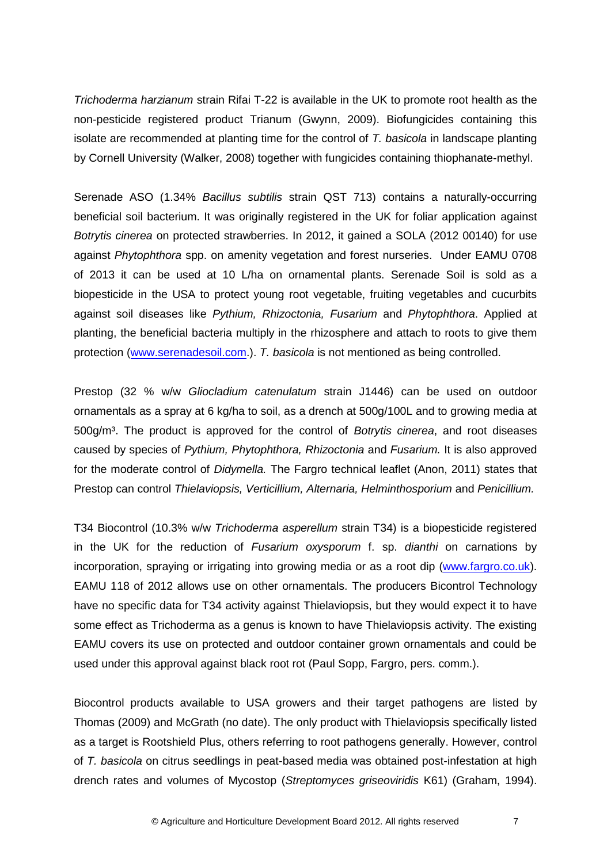*Trichoderma harzianum* strain Rifai T-22 is available in the UK to promote root health as the non-pesticide registered product Trianum (Gwynn, 2009). Biofungicides containing this isolate are recommended at planting time for the control of *T. basicola* in landscape planting by Cornell University (Walker, 2008) together with fungicides containing thiophanate-methyl.

Serenade ASO (1.34% *Bacillus subtilis* strain QST 713) contains a naturally-occurring beneficial soil bacterium. It was originally registered in the UK for foliar application against *Botrytis cinerea* on protected strawberries. In 2012, it gained a SOLA (2012 00140) for use against *Phytophthora* spp. on amenity vegetation and forest nurseries. Under EAMU 0708 of 2013 it can be used at 10 L/ha on ornamental plants. Serenade Soil is sold as a biopesticide in the USA to protect young root vegetable, fruiting vegetables and cucurbits against soil diseases like *Pythium, Rhizoctonia, Fusarium* and *Phytophthora*. Applied at planting, the beneficial bacteria multiply in the rhizosphere and attach to roots to give them protection [\(www.serenadesoil.com.](http://www.serenadesoil.com/)). *T. basicola* is not mentioned as being controlled.

Prestop (32 % w/w *Gliocladium catenulatum* strain J1446) can be used on outdoor ornamentals as a spray at 6 kg/ha to soil, as a drench at 500g/100L and to growing media at 500g/m³. The product is approved for the control of *Botrytis cinerea*, and root diseases caused by species of *Pythium, Phytophthora, Rhizoctonia* and *Fusarium.* It is also approved for the moderate control of *Didymella.* The Fargro technical leaflet (Anon, 2011) states that Prestop can control *Thielaviopsis, Verticillium, Alternaria, Helminthosporium* and *Penicillium.*

T34 Biocontrol (10.3% w/w *Trichoderma asperellum* strain T34) is a biopesticide registered in the UK for the reduction of *Fusarium oxysporum* f. sp. *dianthi* on carnations by incorporation, spraying or irrigating into growing media or as a root dip [\(www.fargro.co.uk\)](http://www.fargro.co.uk/). EAMU 118 of 2012 allows use on other ornamentals. The producers Bicontrol Technology have no specific data for T34 activity against Thielaviopsis, but they would expect it to have some effect as Trichoderma as a genus is known to have Thielaviopsis activity. The existing EAMU covers its use on protected and outdoor container grown ornamentals and could be used under this approval against black root rot (Paul Sopp, Fargro, pers. comm.).

Biocontrol products available to USA growers and their target pathogens are listed by Thomas (2009) and McGrath (no date). The only product with Thielaviopsis specifically listed as a target is Rootshield Plus, others referring to root pathogens generally. However, control of *T. basicola* on citrus seedlings in peat-based media was obtained post-infestation at high drench rates and volumes of Mycostop (*Streptomyces griseoviridis* K61) (Graham, 1994).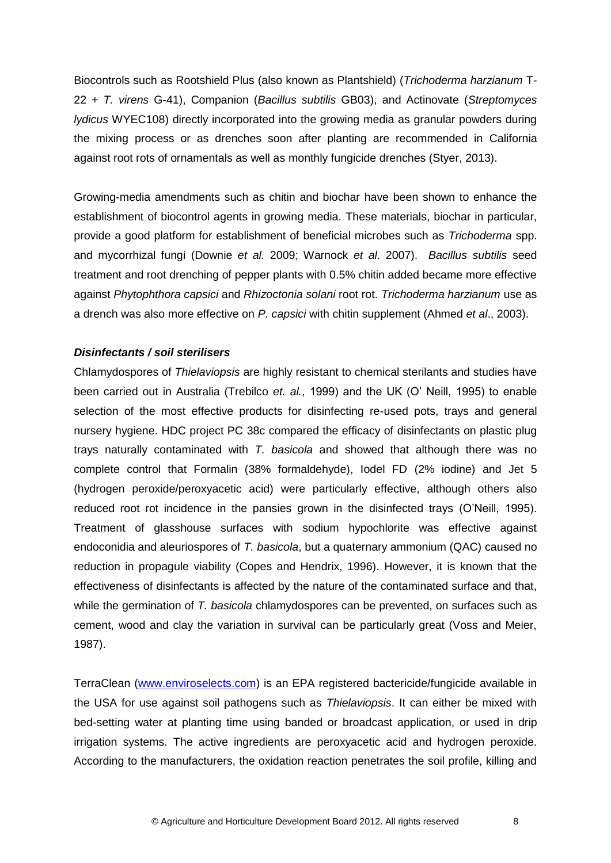Biocontrols such as Rootshield Plus (also known as Plantshield) (*Trichoderma harzianum* T-22 + *T. virens* G-41), Companion (*Bacillus subtilis* GB03), and Actinovate (*Streptomyces lydicus* WYEC108) directly incorporated into the growing media as granular powders during the mixing process or as drenches soon after planting are recommended in California against root rots of ornamentals as well as monthly fungicide drenches (Styer, 2013).

Growing-media amendments such as chitin and biochar have been shown to enhance the establishment of biocontrol agents in growing media. These materials, biochar in particular, provide a good platform for establishment of beneficial microbes such as *Trichoderma* spp. and mycorrhizal fungi (Downie *et al.* 2009; Warnock *et al*. 2007). *Bacillus subtilis* seed treatment and root drenching of pepper plants with 0.5% chitin added became more effective against *Phytophthora capsici* and *Rhizoctonia solani* root rot. *Trichoderma harzianum* use as a drench was also more effective on *P. capsici* with chitin supplement (Ahmed *et al*., 2003).

#### *Disinfectants / soil sterilisers*

Chlamydospores of *Thielaviopsis* are highly resistant to chemical sterilants and studies have been carried out in Australia (Trebilco *et. al.*, 1999) and the UK (O' Neill, 1995) to enable selection of the most effective products for disinfecting re-used pots, trays and general nursery hygiene. HDC project PC 38c compared the efficacy of disinfectants on plastic plug trays naturally contaminated with *T. basicola* and showed that although there was no complete control that Formalin (38% formaldehyde), Iodel FD (2% iodine) and Jet 5 (hydrogen peroxide/peroxyacetic acid) were particularly effective, although others also reduced root rot incidence in the pansies grown in the disinfected trays (O'Neill, 1995). Treatment of glasshouse surfaces with sodium hypochlorite was effective against endoconidia and aleuriospores of *T. basicola*, but a quaternary ammonium (QAC) caused no reduction in propagule viability (Copes and Hendrix, 1996). However, it is known that the effectiveness of disinfectants is affected by the nature of the contaminated surface and that, while the germination of *T. basicola* chlamydospores can be prevented, on surfaces such as cement, wood and clay the variation in survival can be particularly great (Voss and Meier, 1987).

TerraClean [\(www.enviroselects.com\)](http://www.enviroselects.com/) is an EPA registered bactericide/fungicide available in the USA for use against soil pathogens such as *Thielaviopsis*. It can either be mixed with bed-setting water at planting time using banded or broadcast application, or used in drip irrigation systems. The active ingredients are peroxyacetic acid and hydrogen peroxide. According to the manufacturers, the oxidation reaction penetrates the soil profile, killing and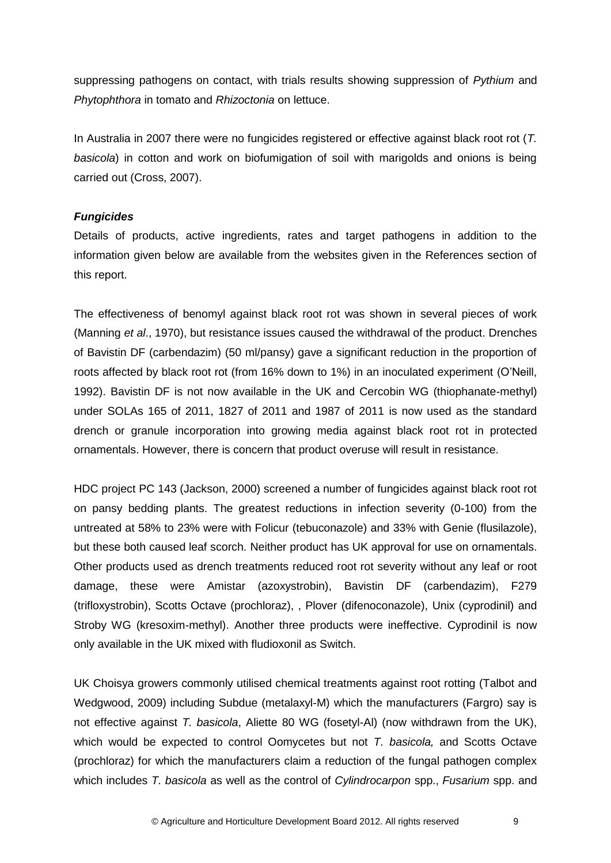suppressing pathogens on contact, with trials results showing suppression of *Pythium* and *Phytophthora* in tomato and *Rhizoctonia* on lettuce.

In Australia in 2007 there were no fungicides registered or effective against black root rot (*T. basicola*) in cotton and work on biofumigation of soil with marigolds and onions is being carried out (Cross, 2007).

## *Fungicides*

Details of products, active ingredients, rates and target pathogens in addition to the information given below are available from the websites given in the References section of this report.

The effectiveness of benomyl against black root rot was shown in several pieces of work (Manning *et al*., 1970), but resistance issues caused the withdrawal of the product. Drenches of Bavistin DF (carbendazim) (50 ml/pansy) gave a significant reduction in the proportion of roots affected by black root rot (from 16% down to 1%) in an inoculated experiment (O'Neill, 1992). Bavistin DF is not now available in the UK and Cercobin WG (thiophanate-methyl) under SOLAs 165 of 2011, 1827 of 2011 and 1987 of 2011 is now used as the standard drench or granule incorporation into growing media against black root rot in protected ornamentals. However, there is concern that product overuse will result in resistance.

HDC project PC 143 (Jackson, 2000) screened a number of fungicides against black root rot on pansy bedding plants. The greatest reductions in infection severity (0-100) from the untreated at 58% to 23% were with Folicur (tebuconazole) and 33% with Genie (flusilazole), but these both caused leaf scorch. Neither product has UK approval for use on ornamentals. Other products used as drench treatments reduced root rot severity without any leaf or root damage, these were Amistar (azoxystrobin), Bavistin DF (carbendazim), F279 (trifloxystrobin), Scotts Octave (prochloraz), , Plover (difenoconazole), Unix (cyprodinil) and Stroby WG (kresoxim-methyl). Another three products were ineffective. Cyprodinil is now only available in the UK mixed with fludioxonil as Switch.

UK Choisya growers commonly utilised chemical treatments against root rotting (Talbot and Wedgwood, 2009) including Subdue (metalaxyl-M) which the manufacturers (Fargro) say is not effective against *T. basicola*, Aliette 80 WG (fosetyl-Al) (now withdrawn from the UK), which would be expected to control Oomycetes but not *T. basicola,* and Scotts Octave (prochloraz) for which the manufacturers claim a reduction of the fungal pathogen complex which includes *T. basicola* as well as the control of *Cylindrocarpon* spp., *Fusarium* spp. and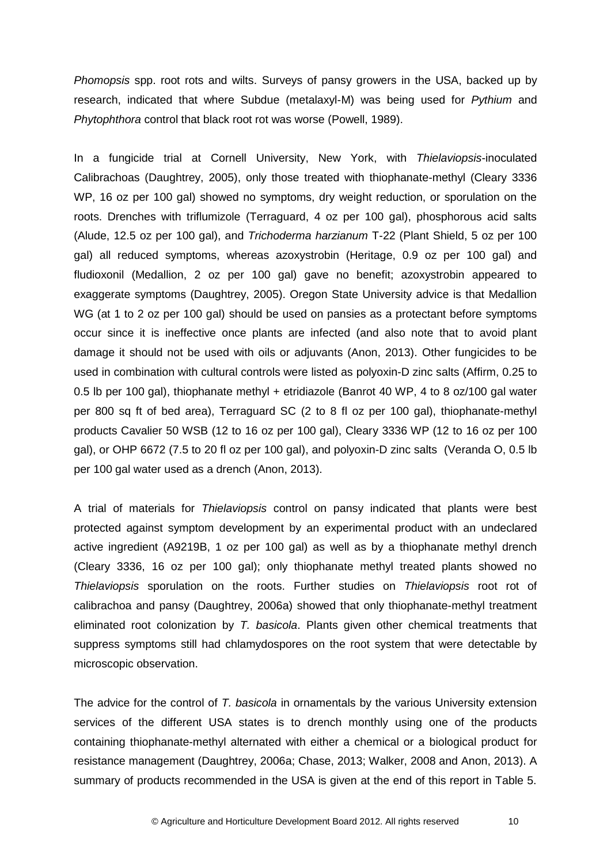*Phomopsis* spp. root rots and wilts. Surveys of pansy growers in the USA, backed up by research, indicated that where Subdue (metalaxyl-M) was being used for *Pythium* and *Phytophthora* control that black root rot was worse (Powell, 1989).

In a fungicide trial at Cornell University, New York, with *Thielaviopsis*-inoculated Calibrachoas (Daughtrey, 2005), only those treated with thiophanate-methyl (Cleary 3336 WP, 16 oz per 100 gal) showed no symptoms, dry weight reduction, or sporulation on the roots. Drenches with triflumizole (Terraguard, 4 oz per 100 gal), phosphorous acid salts (Alude, 12.5 oz per 100 gal), and *Trichoderma harzianum* T-22 (Plant Shield, 5 oz per 100 gal) all reduced symptoms, whereas azoxystrobin (Heritage, 0.9 oz per 100 gal) and fludioxonil (Medallion, 2 oz per 100 gal) gave no benefit; azoxystrobin appeared to exaggerate symptoms (Daughtrey, 2005). Oregon State University advice is that Medallion WG (at 1 to 2 oz per 100 gal) should be used on pansies as a protectant before symptoms occur since it is ineffective once plants are infected (and also note that to avoid plant damage it should not be used with oils or adjuvants (Anon, 2013). Other fungicides to be used in combination with cultural controls were listed as polyoxin-D zinc salts (Affirm, 0.25 to 0.5 lb per 100 gal), thiophanate methyl + etridiazole (Banrot 40 WP, 4 to 8 oz/100 gal water per 800 sq ft of bed area), Terraguard SC (2 to 8 fl oz per 100 gal), thiophanate-methyl products Cavalier 50 WSB (12 to 16 oz per 100 gal), Cleary 3336 WP (12 to 16 oz per 100 gal), or OHP 6672 (7.5 to 20 fl oz per 100 gal), and polyoxin-D zinc salts (Veranda O, 0.5 lb per 100 gal water used as a drench (Anon, 2013).

A trial of materials for *Thielaviopsis* control on pansy indicated that plants were best protected against symptom development by an experimental product with an undeclared active ingredient (A9219B, 1 oz per 100 gal) as well as by a thiophanate methyl drench (Cleary 3336, 16 oz per 100 gal); only thiophanate methyl treated plants showed no *Thielaviopsis* sporulation on the roots. Further studies on *Thielaviopsis* root rot of calibrachoa and pansy (Daughtrey, 2006a) showed that only thiophanate-methyl treatment eliminated root colonization by *T. basicola*. Plants given other chemical treatments that suppress symptoms still had chlamydospores on the root system that were detectable by microscopic observation.

The advice for the control of *T. basicola* in ornamentals by the various University extension services of the different USA states is to drench monthly using one of the products containing thiophanate-methyl alternated with either a chemical or a biological product for resistance management (Daughtrey, 2006a; Chase, 2013; Walker, 2008 and Anon, 2013). A summary of products recommended in the USA is given at the end of this report in Table 5.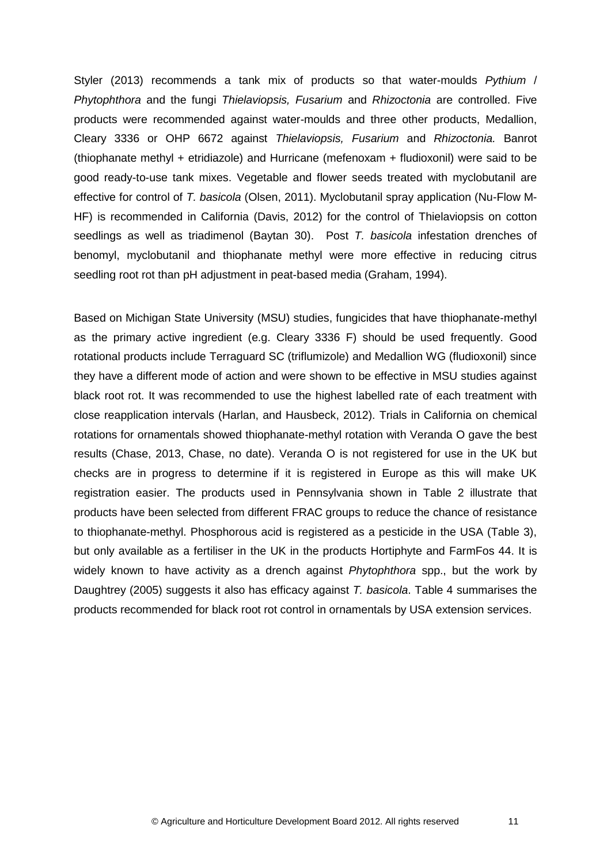Styler (2013) recommends a tank mix of products so that water-moulds *Pythium* / *Phytophthora* and the fungi *Thielaviopsis, Fusarium* and *Rhizoctonia* are controlled. Five products were recommended against water-moulds and three other products, Medallion, Cleary 3336 or OHP 6672 against *Thielaviopsis, Fusarium* and *Rhizoctonia.* Banrot (thiophanate methyl + etridiazole) and Hurricane (mefenoxam + fludioxonil) were said to be good ready-to-use tank mixes. Vegetable and flower seeds treated with myclobutanil are effective for control of *T. basicola* (Olsen, 2011). Myclobutanil spray application (Nu-Flow M-HF) is recommended in California (Davis, 2012) for the control of Thielaviopsis on cotton seedlings as well as triadimenol (Baytan 30). Post *T. basicola* infestation drenches of benomyl, myclobutanil and thiophanate methyl were more effective in reducing citrus seedling root rot than pH adjustment in peat-based media (Graham, 1994).

Based on Michigan State University (MSU) studies, fungicides that have thiophanate-methyl as the primary active ingredient (e.g. Cleary 3336 F) should be used frequently. Good rotational products include Terraguard SC (triflumizole) and Medallion WG (fludioxonil) since they have a different mode of action and were shown to be effective in MSU studies against black root rot. It was recommended to use the highest labelled rate of each treatment with close reapplication intervals (Harlan, and Hausbeck, 2012). Trials in California on chemical rotations for ornamentals showed thiophanate-methyl rotation with Veranda O gave the best results (Chase, 2013, Chase, no date). Veranda O is not registered for use in the UK but checks are in progress to determine if it is registered in Europe as this will make UK registration easier. The products used in Pennsylvania shown in Table 2 illustrate that products have been selected from different FRAC groups to reduce the chance of resistance to thiophanate-methyl. Phosphorous acid is registered as a pesticide in the USA (Table 3), but only available as a fertiliser in the UK in the products Hortiphyte and FarmFos 44. It is widely known to have activity as a drench against *Phytophthora* spp., but the work by Daughtrey (2005) suggests it also has efficacy against *T. basicola*. Table 4 summarises the products recommended for black root rot control in ornamentals by USA extension services.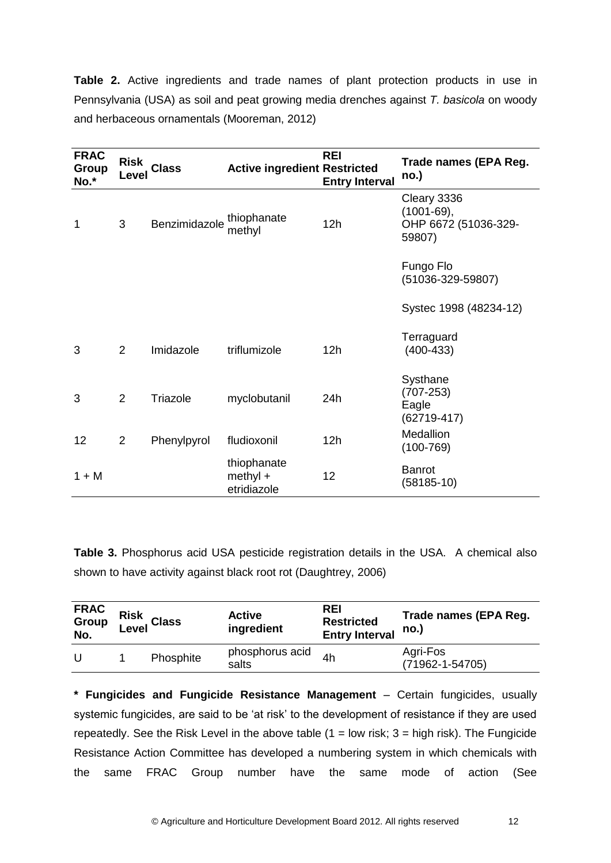**Table 2.** Active ingredients and trade names of plant protection products in use in Pennsylvania (USA) as soil and peat growing media drenches against *T. basicola* on woody and herbaceous ornamentals (Mooreman, 2012)

| <b>FRAC</b><br>Group<br>No.* | <b>Risk</b><br>Level | <b>Class</b>  | <b>Active ingredient Restricted</b>      | <b>REI</b><br><b>Entry Interval</b> | Trade names (EPA Reg.<br>no.)                                   |
|------------------------------|----------------------|---------------|------------------------------------------|-------------------------------------|-----------------------------------------------------------------|
| 1                            | 3                    | Benzimidazole | thiophanate<br>methyl                    | 12h                                 | Cleary 3336<br>$(1001 - 69),$<br>OHP 6672 (51036-329-<br>59807) |
|                              |                      |               |                                          |                                     | Fungo Flo<br>(51036-329-59807)                                  |
|                              |                      |               |                                          |                                     | Systec 1998 (48234-12)                                          |
| 3                            | $\overline{2}$       | Imidazole     | triflumizole                             | 12h                                 | Terraguard<br>$(400-433)$                                       |
| 3                            | 2                    | Triazole      | myclobutanil                             | 24h                                 | Systhane<br>$(707 - 253)$<br>Eagle<br>$(62719-417)$             |
| 12                           | 2                    | Phenylpyrol   | fludioxonil                              | 12h                                 | Medallion<br>$(100 - 769)$                                      |
| $1 + M$                      |                      |               | thiophanate<br>$methyl +$<br>etridiazole | 12                                  | <b>Banrot</b><br>$(58185-10)$                                   |

**Table 3.** Phosphorus acid USA pesticide registration details in the USA. A chemical also shown to have activity against black root rot (Daughtrey, 2006)

| <b>FRAC</b><br>Group<br>No. | Risk<br>Level Class | <b>Active</b><br>ingredient | <b>REI</b><br><b>Restricted</b><br><b>Entry Interval</b> | Trade names (EPA Reg.<br>no.)     |
|-----------------------------|---------------------|-----------------------------|----------------------------------------------------------|-----------------------------------|
| U                           | Phosphite           | phosphorus acid<br>salts    | 4h                                                       | Agri-Fos<br>$(71962 - 1 - 54705)$ |

**\* Fungicides and Fungicide Resistance Management** – Certain fungicides, usually systemic fungicides, are said to be 'at risk' to the development of resistance if they are used repeatedly. See the Risk Level in the above table  $(1 = low$  risk;  $3 = high$  risk). The Fungicide Resistance Action Committee has developed a numbering system in which chemicals with the same FRAC Group number have the same mode of action (See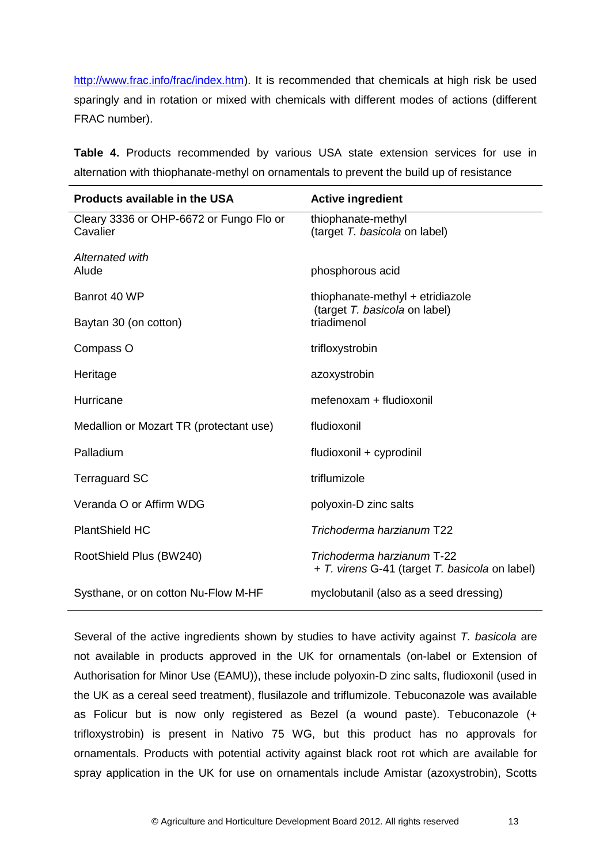[http://www.frac.info/frac/index.htm\)](http://www.frac.info/frac/index.htm). It is recommended that chemicals at high risk be used sparingly and in rotation or mixed with chemicals with different modes of actions (different FRAC number).

**Table 4.** Products recommended by various USA state extension services for use in alternation with thiophanate-methyl on ornamentals to prevent the build up of resistance

| Products available in the USA                       | <b>Active ingredient</b>                                                     |  |
|-----------------------------------------------------|------------------------------------------------------------------------------|--|
| Cleary 3336 or OHP-6672 or Fungo Flo or<br>Cavalier | thiophanate-methyl<br>(target T. basicola on label)                          |  |
| Alternated with<br>Alude                            | phosphorous acid                                                             |  |
| Banrot 40 WP                                        | thiophanate-methyl + etridiazole                                             |  |
| Baytan 30 (on cotton)                               | (target T. basicola on label)<br>triadimenol                                 |  |
| Compass O                                           | trifloxystrobin                                                              |  |
| Heritage                                            | azoxystrobin                                                                 |  |
| Hurricane                                           | mefenoxam + fludioxonil                                                      |  |
| Medallion or Mozart TR (protectant use)             | fludioxonil                                                                  |  |
| Palladium                                           | fludioxonil + cyprodinil                                                     |  |
| <b>Terraguard SC</b>                                | triflumizole                                                                 |  |
| Veranda O or Affirm WDG                             | polyoxin-D zinc salts                                                        |  |
| <b>PlantShield HC</b>                               | Trichoderma harzianum T22                                                    |  |
| RootShield Plus (BW240)                             | Trichoderma harzianum T-22<br>+ T. virens G-41 (target T. basicola on label) |  |
| Systhane, or on cotton Nu-Flow M-HF                 | myclobutanil (also as a seed dressing)                                       |  |

Several of the active ingredients shown by studies to have activity against *T. basicola* are not available in products approved in the UK for ornamentals (on-label or Extension of Authorisation for Minor Use (EAMU)), these include polyoxin-D zinc salts, fludioxonil (used in the UK as a cereal seed treatment), flusilazole and triflumizole. Tebuconazole was available as Folicur but is now only registered as Bezel (a wound paste). Tebuconazole (+ trifloxystrobin) is present in Nativo 75 WG, but this product has no approvals for ornamentals. Products with potential activity against black root rot which are available for spray application in the UK for use on ornamentals include Amistar (azoxystrobin), Scotts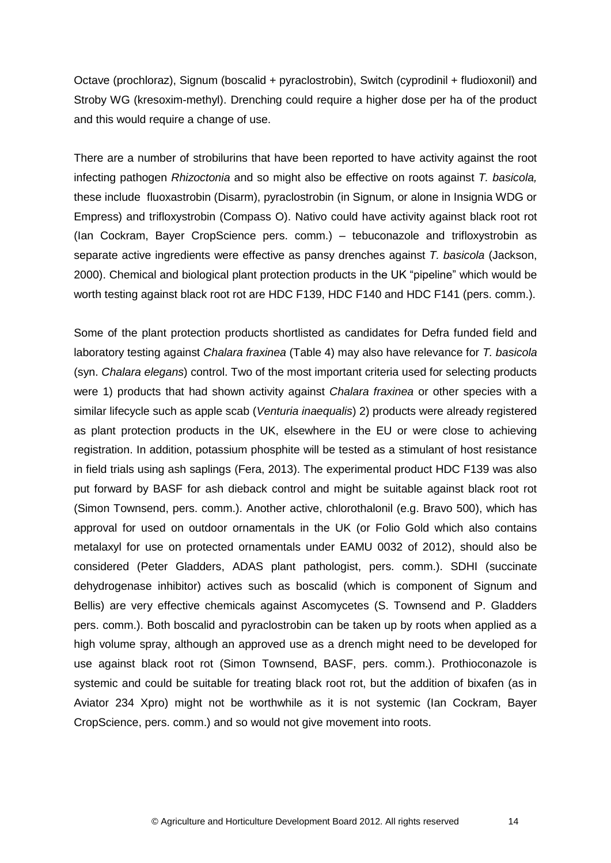Octave (prochloraz), Signum (boscalid + pyraclostrobin), Switch (cyprodinil + fludioxonil) and Stroby WG (kresoxim-methyl). Drenching could require a higher dose per ha of the product and this would require a change of use.

There are a number of strobilurins that have been reported to have activity against the root infecting pathogen *Rhizoctonia* and so might also be effective on roots against *T. basicola,*  these include fluoxastrobin (Disarm), pyraclostrobin (in Signum, or alone in Insignia WDG or Empress) and trifloxystrobin (Compass O). Nativo could have activity against black root rot (Ian Cockram, Bayer CropScience pers. comm.) – tebuconazole and trifloxystrobin as separate active ingredients were effective as pansy drenches against *T. basicola* (Jackson, 2000). Chemical and biological plant protection products in the UK "pipeline" which would be worth testing against black root rot are HDC F139, HDC F140 and HDC F141 (pers. comm.).

Some of the plant protection products shortlisted as candidates for Defra funded field and laboratory testing against *Chalara fraxinea* (Table 4) may also have relevance for *T. basicola* (syn. *Chalara elegans*) control. Two of the most important criteria used for selecting products were 1) products that had shown activity against *Chalara fraxinea* or other species with a similar lifecycle such as apple scab (*Venturia inaequalis*) 2) products were already registered as plant protection products in the UK, elsewhere in the EU or were close to achieving registration. In addition, potassium phosphite will be tested as a stimulant of host resistance in field trials using ash saplings (Fera, 2013). The experimental product HDC F139 was also put forward by BASF for ash dieback control and might be suitable against black root rot (Simon Townsend, pers. comm.). Another active, chlorothalonil (e.g. Bravo 500), which has approval for used on outdoor ornamentals in the UK (or Folio Gold which also contains metalaxyl for use on protected ornamentals under EAMU 0032 of 2012), should also be considered (Peter Gladders, ADAS plant pathologist, pers. comm.). SDHI (succinate dehydrogenase inhibitor) actives such as boscalid (which is component of Signum and Bellis) are very effective chemicals against Ascomycetes (S. Townsend and P. Gladders pers. comm.). Both boscalid and pyraclostrobin can be taken up by roots when applied as a high volume spray, although an approved use as a drench might need to be developed for use against black root rot (Simon Townsend, BASF, pers. comm.). Prothioconazole is systemic and could be suitable for treating black root rot, but the addition of bixafen (as in Aviator 234 Xpro) might not be worthwhile as it is not systemic (Ian Cockram, Bayer CropScience, pers. comm.) and so would not give movement into roots.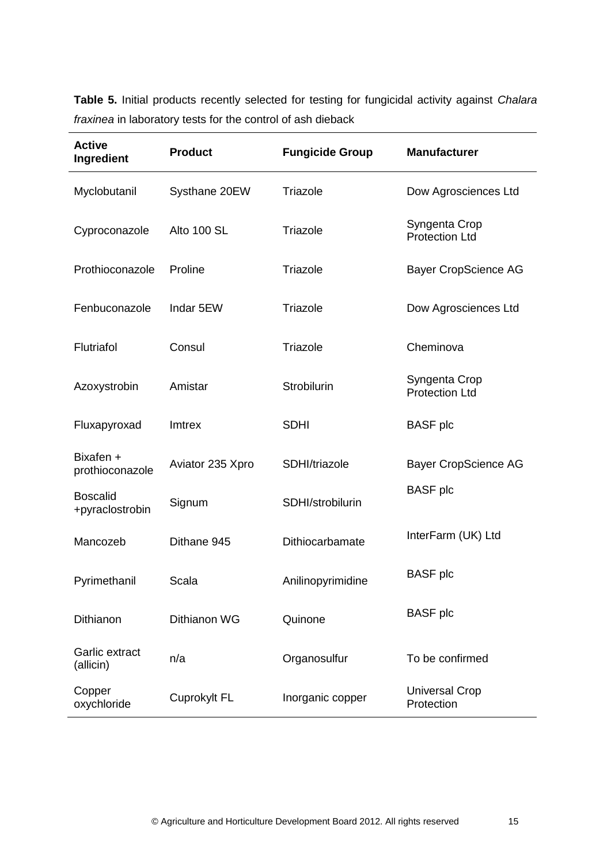**Table 5.** Initial products recently selected for testing for fungicidal activity against *Chalara fraxinea* in laboratory tests for the control of ash dieback

| <b>Active</b><br>Ingredient        | <b>Product</b>   | <b>Fungicide Group</b> | <b>Manufacturer</b>                    |
|------------------------------------|------------------|------------------------|----------------------------------------|
| Myclobutanil                       | Systhane 20EW    | Triazole               | Dow Agrosciences Ltd                   |
| Cyproconazole                      | Alto 100 SL      | Triazole               | Syngenta Crop<br><b>Protection Ltd</b> |
| Prothioconazole                    | Proline          | Triazole               | <b>Bayer CropScience AG</b>            |
| Fenbuconazole                      | Indar 5EW        | Triazole               | Dow Agrosciences Ltd                   |
| Flutriafol                         | Consul           | Triazole               | Cheminova                              |
| Azoxystrobin                       | Amistar          | Strobilurin            | Syngenta Crop<br><b>Protection Ltd</b> |
| Fluxapyroxad                       | Imtrex           | <b>SDHI</b>            | <b>BASF</b> plc                        |
| Bixafen +<br>prothioconazole       | Aviator 235 Xpro | SDHI/triazole          | <b>Bayer CropScience AG</b>            |
| <b>Boscalid</b><br>+pyraclostrobin | Signum           | SDHI/strobilurin       | <b>BASF</b> plc                        |
| Mancozeb                           | Dithane 945      | Dithiocarbamate        | InterFarm (UK) Ltd                     |
| Pyrimethanil                       | Scala            | Anilinopyrimidine      | <b>BASF</b> plc                        |
| Dithianon                          | Dithianon WG     | Quinone                | <b>BASF</b> plc                        |
| Garlic extract<br>(allicin)        | n/a              | Organosulfur           | To be confirmed                        |
| Copper<br>oxychloride              | Cuprokylt FL     | Inorganic copper       | <b>Universal Crop</b><br>Protection    |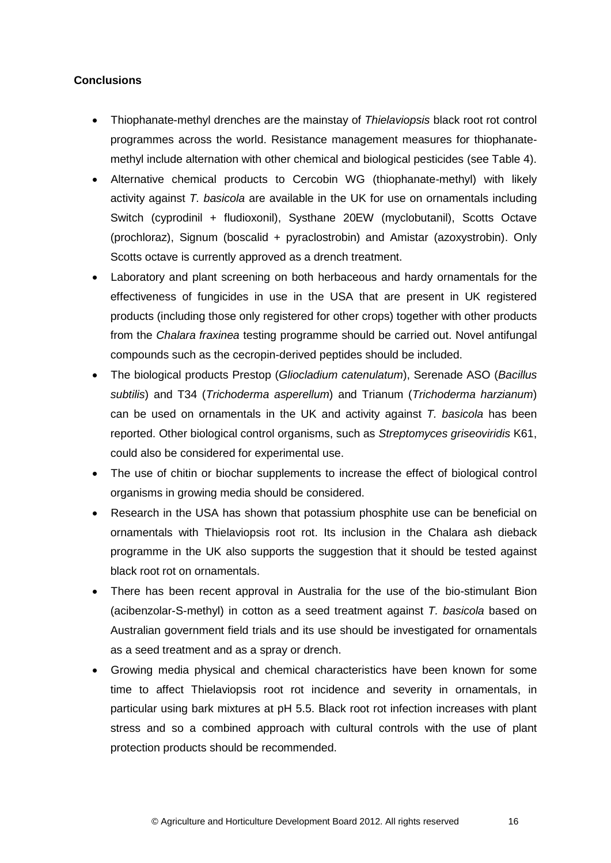## **Conclusions**

- Thiophanate-methyl drenches are the mainstay of *Thielaviopsis* black root rot control programmes across the world. Resistance management measures for thiophanatemethyl include alternation with other chemical and biological pesticides (see Table 4).
- Alternative chemical products to Cercobin WG (thiophanate-methyl) with likely activity against *T. basicola* are available in the UK for use on ornamentals including Switch (cyprodinil + fludioxonil), Systhane 20EW (myclobutanil), Scotts Octave (prochloraz), Signum (boscalid + pyraclostrobin) and Amistar (azoxystrobin). Only Scotts octave is currently approved as a drench treatment.
- Laboratory and plant screening on both herbaceous and hardy ornamentals for the effectiveness of fungicides in use in the USA that are present in UK registered products (including those only registered for other crops) together with other products from the *Chalara fraxinea* testing programme should be carried out. Novel antifungal compounds such as the cecropin-derived peptides should be included.
- The biological products Prestop (*Gliocladium catenulatum*), Serenade ASO (*Bacillus subtilis*) and T34 (*Trichoderma asperellum*) and Trianum (*Trichoderma harzianum*) can be used on ornamentals in the UK and activity against *T. basicola* has been reported. Other biological control organisms, such as *Streptomyces griseoviridis* K61, could also be considered for experimental use.
- The use of chitin or biochar supplements to increase the effect of biological control organisms in growing media should be considered.
- Research in the USA has shown that potassium phosphite use can be beneficial on ornamentals with Thielaviopsis root rot. Its inclusion in the Chalara ash dieback programme in the UK also supports the suggestion that it should be tested against black root rot on ornamentals.
- There has been recent approval in Australia for the use of the bio-stimulant Bion (acibenzolar-S-methyl) in cotton as a seed treatment against *T. basicola* based on Australian government field trials and its use should be investigated for ornamentals as a seed treatment and as a spray or drench.
- Growing media physical and chemical characteristics have been known for some time to affect Thielaviopsis root rot incidence and severity in ornamentals, in particular using bark mixtures at pH 5.5. Black root rot infection increases with plant stress and so a combined approach with cultural controls with the use of plant protection products should be recommended.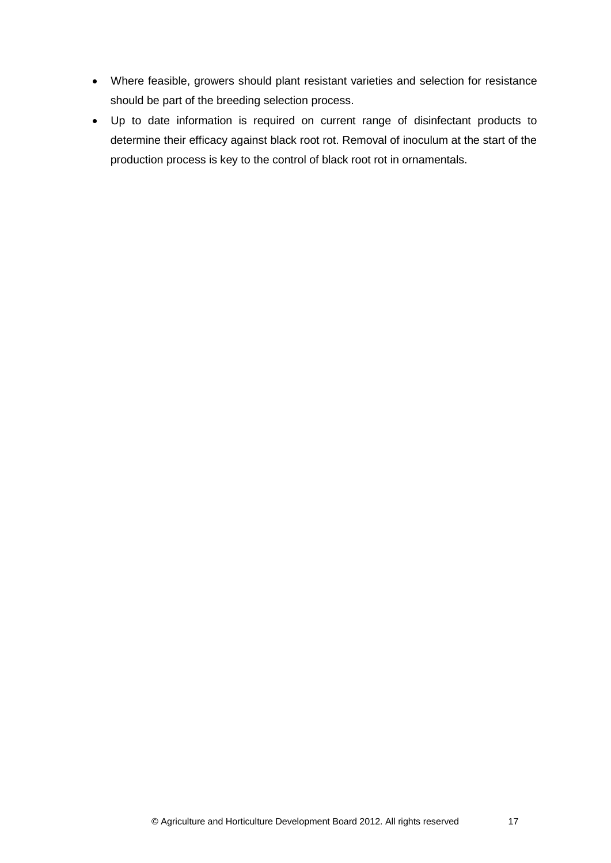- Where feasible, growers should plant resistant varieties and selection for resistance should be part of the breeding selection process.
- Up to date information is required on current range of disinfectant products to determine their efficacy against black root rot. Removal of inoculum at the start of the production process is key to the control of black root rot in ornamentals.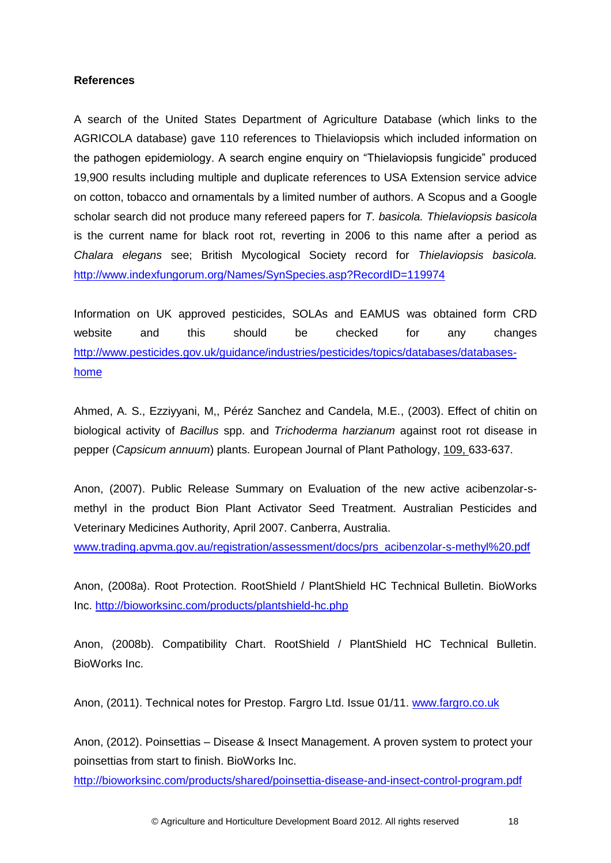## **References**

A search of the United States Department of Agriculture Database (which links to the AGRICOLA database) gave 110 references to Thielaviopsis which included information on the pathogen epidemiology. A search engine enquiry on "Thielaviopsis fungicide" produced 19,900 results including multiple and duplicate references to USA Extension service advice on cotton, tobacco and ornamentals by a limited number of authors. A Scopus and a Google scholar search did not produce many refereed papers for *T. basicola. Thielaviopsis basicola* is the current name for black root rot, reverting in 2006 to this name after a period as *Chalara elegans* see; British Mycological Society record for *Thielaviopsis basicola.*  <http://www.indexfungorum.org/Names/SynSpecies.asp?RecordID=119974>

Information on UK approved pesticides, SOLAs and EAMUS was obtained form CRD website and this should be checked for any changes [http://www.pesticides.gov.uk/guidance/industries/pesticides/topics/databases/databases](http://www.pesticides.gov.uk/guidance/industries/pesticides/topics/databases/databases-home)[home](http://www.pesticides.gov.uk/guidance/industries/pesticides/topics/databases/databases-home)

Ahmed, A. S., Ezziyyani, M,, Péréz Sanchez and Candela, M.E., (2003). Effect of chitin on biological activity of *Bacillus* spp. and *Trichoderma harzianum* against root rot disease in pepper (*Capsicum annuum*) plants. European Journal of Plant Pathology, 109, 633-637.

Anon, (2007). Public Release Summary on Evaluation of the new active acibenzolar-smethyl in the product Bion Plant Activator Seed Treatment. Australian Pesticides and Veterinary Medicines Authority, April 2007. Canberra, Australia. [www.trading.apvma.gov.au/registration/assessment/docs/prs\\_acibenzolar-s-methyl%20.pdf](http://www.trading.apvma.gov.au/registration/assessment/docs/prs_acibenzolar-s-methyl%20.pdf)

Anon, (2008a). Root Protection. RootShield / PlantShield HC Technical Bulletin. BioWorks Inc.<http://bioworksinc.com/products/plantshield-hc.php>

Anon, (2008b). Compatibility Chart. RootShield / PlantShield HC Technical Bulletin. BioWorks Inc.

Anon, (2011). Technical notes for Prestop. Fargro Ltd. Issue 01/11. [www.fargro.co.uk](http://www.fargro.co.uk/)

Anon, (2012). Poinsettias – Disease & Insect Management. A proven system to protect your poinsettias from start to finish. BioWorks Inc.

<http://bioworksinc.com/products/shared/poinsettia-disease-and-insect-control-program.pdf>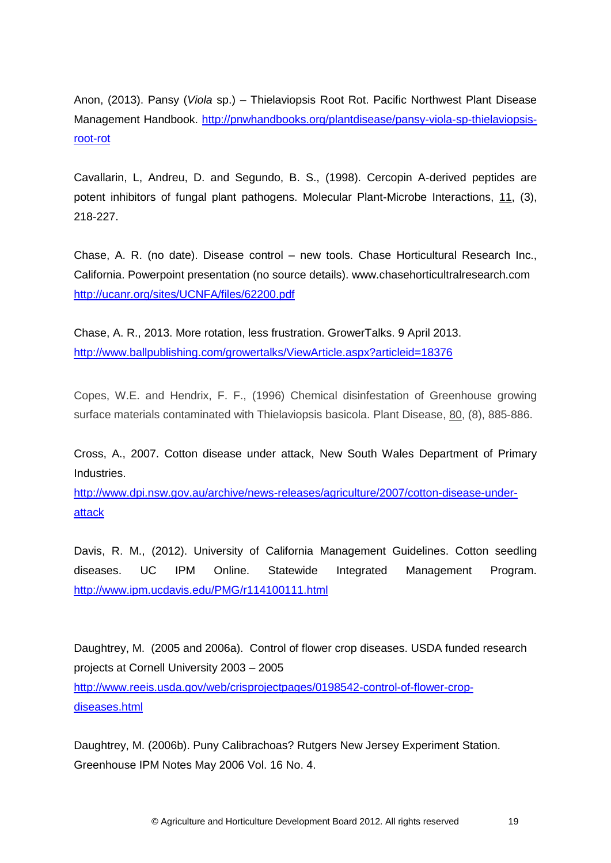Anon, (2013). Pansy (*Viola* sp.) – Thielaviopsis Root Rot. Pacific Northwest Plant Disease Management Handbook. [http://pnwhandbooks.org/plantdisease/pansy-viola-sp-thielaviopsis](http://pnwhandbooks.org/plantdisease/pansy-viola-sp-thielaviopsis-root-rot)[root-rot](http://pnwhandbooks.org/plantdisease/pansy-viola-sp-thielaviopsis-root-rot)

Cavallarin, L, Andreu, D. and Segundo, B. S., (1998). Cercopin A-derived peptides are potent inhibitors of fungal plant pathogens. Molecular Plant-Microbe Interactions, 11, (3), 218-227.

Chase, A. R. (no date). Disease control – new tools. Chase Horticultural Research Inc., California. Powerpoint presentation (no source details). www.chasehorticultralresearch.com <http://ucanr.org/sites/UCNFA/files/62200.pdf>

Chase, A. R., 2013. More rotation, less frustration. GrowerTalks. 9 April 2013. <http://www.ballpublishing.com/growertalks/ViewArticle.aspx?articleid=18376>

Copes, W.E. and Hendrix, F. F., (1996) Chemical disinfestation of Greenhouse growing surface materials contaminated with Thielaviopsis basicola. Plant Disease, 80, (8), 885-886.

Cross, A., 2007. Cotton disease under attack, New South Wales Department of Primary Industries.

[http://www.dpi.nsw.gov.au/archive/news-releases/agriculture/2007/cotton-disease-under](http://www.dpi.nsw.gov.au/archive/news-releases/agriculture/2007/cotton-disease-under-attack)[attack](http://www.dpi.nsw.gov.au/archive/news-releases/agriculture/2007/cotton-disease-under-attack)

Davis, R. M., (2012). University of California Management Guidelines. Cotton seedling diseases. UC IPM Online. Statewide Integrated Management Program. <http://www.ipm.ucdavis.edu/PMG/r114100111.html>

Daughtrey, M. (2005 and 2006a). Control of flower crop diseases. USDA funded research projects at Cornell University 2003 – 2005 [http://www.reeis.usda.gov/web/crisprojectpages/0198542-control-of-flower-crop](http://www.reeis.usda.gov/web/crisprojectpages/0198542-control-of-flower-crop-diseases.html)[diseases.html](http://www.reeis.usda.gov/web/crisprojectpages/0198542-control-of-flower-crop-diseases.html)

Daughtrey, M. (2006b). Puny Calibrachoas? Rutgers New Jersey Experiment Station. Greenhouse IPM Notes May 2006 Vol. 16 No. 4.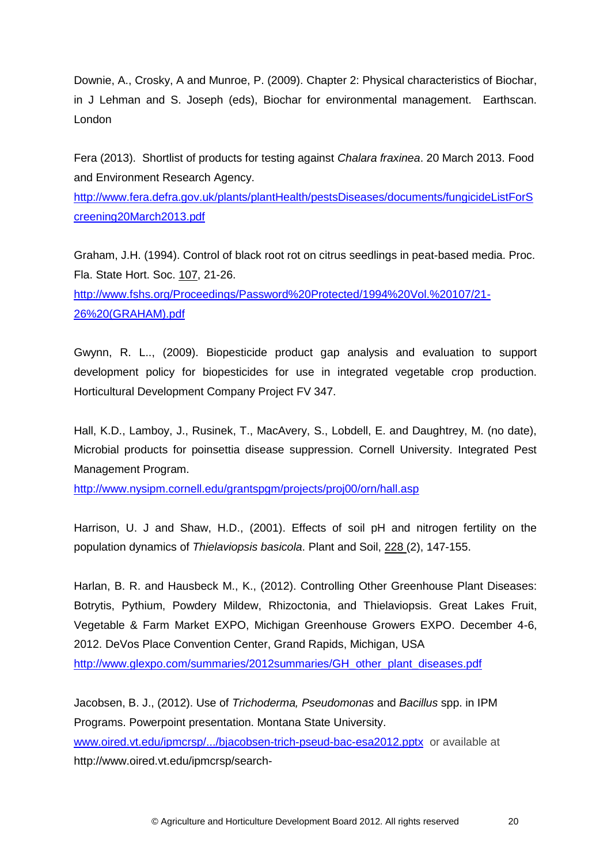Downie, A., Crosky, A and Munroe, P. (2009). Chapter 2: Physical characteristics of Biochar, in J Lehman and S. Joseph (eds), Biochar for environmental management. Earthscan. London

Fera (2013). Shortlist of products for testing against *Chalara fraxinea*. 20 March 2013. Food and Environment Research Agency.

[http://www.fera.defra.gov.uk/plants/plantHealth/pestsDiseases/documents/fungicideListForS](http://www.fera.defra.gov.uk/plants/plantHealth/pestsDiseases/documents/fungicideListForScreening20March2013.pdf) [creening20March2013.pdf](http://www.fera.defra.gov.uk/plants/plantHealth/pestsDiseases/documents/fungicideListForScreening20March2013.pdf)

Graham, J.H. (1994). Control of black root rot on citrus seedlings in peat-based media. Proc. Fla. State Hort. Soc. 107, 21-26.

[http://www.fshs.org/Proceedings/Password%20Protected/1994%20Vol.%20107/21-](http://www.fshs.org/Proceedings/Password%20Protected/1994%20Vol.%20107/21-26%20(GRAHAM).pdf) [26%20\(GRAHAM\).pdf](http://www.fshs.org/Proceedings/Password%20Protected/1994%20Vol.%20107/21-26%20(GRAHAM).pdf)

Gwynn, R. L.., (2009). Biopesticide product gap analysis and evaluation to support development policy for biopesticides for use in integrated vegetable crop production. Horticultural Development Company Project FV 347.

Hall, K.D., Lamboy, J., Rusinek, T., MacAvery, S., Lobdell, E. and Daughtrey, M. (no date), Microbial products for poinsettia disease suppression. Cornell University. Integrated Pest Management Program.

<http://www.nysipm.cornell.edu/grantspgm/projects/proj00/orn/hall.asp>

Harrison, U. J and Shaw, H.D., (2001). Effects of soil pH and nitrogen fertility on the population dynamics of *Thielaviopsis basicola*. Plant and Soil, 228 (2), 147-155.

Harlan, B. R. and Hausbeck M., K., (2012). Controlling Other Greenhouse Plant Diseases: Botrytis, Pythium, Powdery Mildew, Rhizoctonia, and Thielaviopsis. Great Lakes Fruit, Vegetable & Farm Market EXPO, Michigan Greenhouse Growers EXPO. December 4-6, 2012. DeVos Place Convention Center, Grand Rapids, Michigan, USA [http://www.glexpo.com/summaries/2012summaries/GH\\_other\\_plant\\_diseases.pdf](http://www.glexpo.com/summaries/2012summaries/GH_other_plant_diseases.pdf)

Jacobsen, B. J., (2012). Use of *Trichoderma, Pseudomonas* and *Bacillus* spp. in IPM Programs. Powerpoint presentation. Montana State University. [www.oired.vt.edu/ipmcrsp/.../bjacobsen-trich-pseud-bac-esa2012.pptx](http://www.oired.vt.edu/ipmcrsp/.../bjacobsen-trich-pseud-bac-esa2012.pptx) or available at http://www.oired.vt.edu/ipmcrsp/search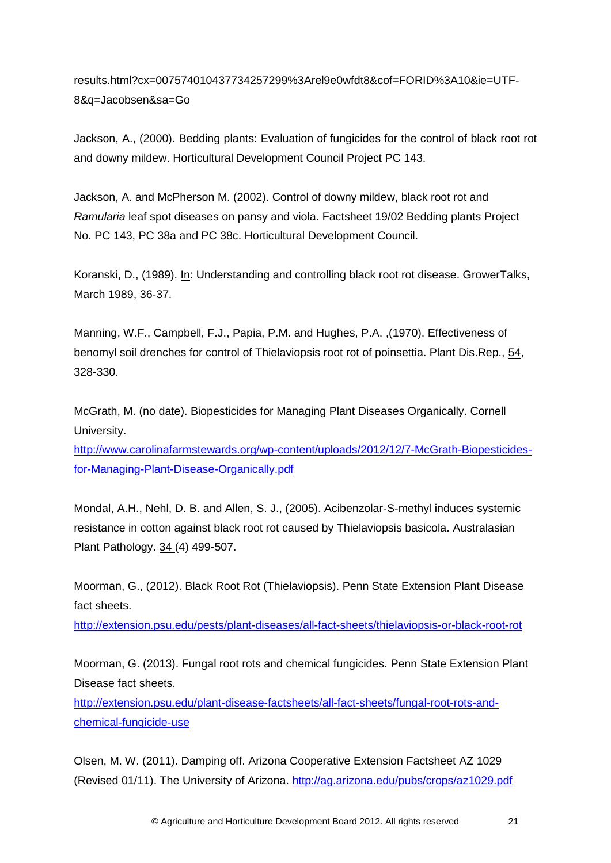results.html?cx=007574010437734257299%3Arel9e0wfdt8&cof=FORID%3A10&ie=UTF-8&q=Jacobsen&sa=Go

Jackson, A., (2000). Bedding plants: Evaluation of fungicides for the control of black root rot and downy mildew. Horticultural Development Council Project PC 143.

Jackson, A. and McPherson M. (2002). Control of downy mildew, black root rot and *Ramularia* leaf spot diseases on pansy and viola. Factsheet 19/02 Bedding plants Project No. PC 143, PC 38a and PC 38c. Horticultural Development Council.

Koranski, D., (1989). In: Understanding and controlling black root rot disease. GrowerTalks, March 1989, 36-37.

Manning, W.F., Campbell, F.J., Papia, P.M. and Hughes, P.A. ,(1970). Effectiveness of benomyl soil drenches for control of Thielaviopsis root rot of poinsettia. Plant Dis.Rep., 54, 328-330.

McGrath, M. (no date). Biopesticides for Managing Plant Diseases Organically. Cornell University.

[http://www.carolinafarmstewards.org/wp-content/uploads/2012/12/7-McGrath-Biopesticides](http://www.carolinafarmstewards.org/wp-content/uploads/2012/12/7-McGrath-Biopesticides-for-Managing-Plant-Disease-Organically.pdf)[for-Managing-Plant-Disease-Organically.pdf](http://www.carolinafarmstewards.org/wp-content/uploads/2012/12/7-McGrath-Biopesticides-for-Managing-Plant-Disease-Organically.pdf)

Mondal, A.H., Nehl, D. B. and Allen, S. J., (2005). Acibenzolar-S-methyl induces systemic resistance in cotton against black root rot caused by Thielaviopsis basicola. Australasian Plant Pathology. 34 (4) 499-507.

Moorman, G., (2012). Black Root Rot (Thielaviopsis). Penn State Extension Plant Disease fact sheets.

<http://extension.psu.edu/pests/plant-diseases/all-fact-sheets/thielaviopsis-or-black-root-rot>

Moorman, G. (2013). Fungal root rots and chemical fungicides. Penn State Extension Plant Disease fact sheets.

[http://extension.psu.edu/plant-disease-factsheets/all-fact-sheets/fungal-root-rots-and](http://extension.psu.edu/plant-disease-factsheets/all-fact-sheets/fungal-root-rots-and-chemical-fungicide-use)[chemical-fungicide-use](http://extension.psu.edu/plant-disease-factsheets/all-fact-sheets/fungal-root-rots-and-chemical-fungicide-use)

Olsen, M. W. (2011). Damping off. Arizona Cooperative Extension Factsheet AZ 1029 (Revised 01/11). The University of Arizona. <http://ag.arizona.edu/pubs/crops/az1029.pdf>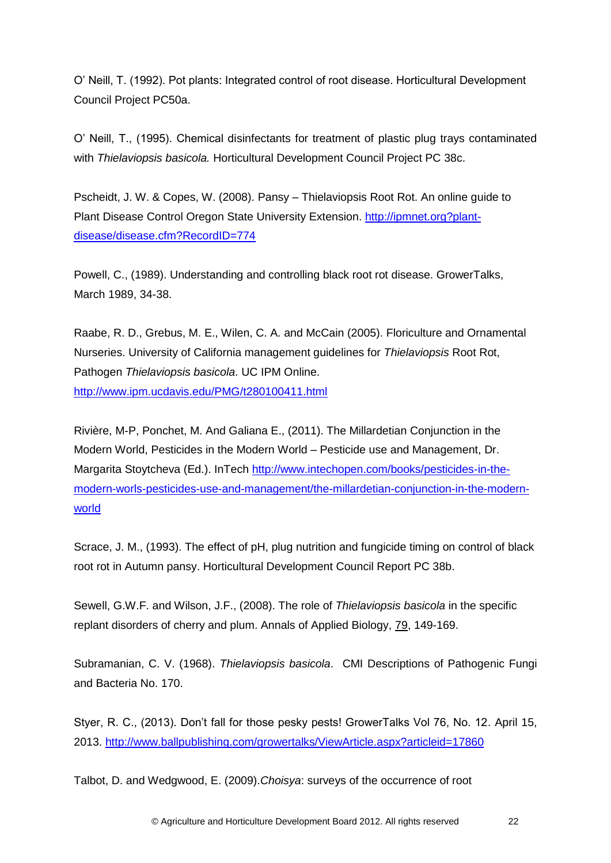O' Neill, T. (1992). Pot plants: Integrated control of root disease. Horticultural Development Council Project PC50a.

O' Neill, T., (1995). Chemical disinfectants for treatment of plastic plug trays contaminated with *Thielaviopsis basicola.* Horticultural Development Council Project PC 38c.

Pscheidt, J. W. & Copes, W. (2008). Pansy – Thielaviopsis Root Rot. An online guide to Plant Disease Control Oregon State University Extension. [http://ipmnet.org?plant](http://ipmnet.org/?plant-disease/disease.cfm?RecordID=774)[disease/disease.cfm?RecordID=774](http://ipmnet.org/?plant-disease/disease.cfm?RecordID=774)

Powell, C., (1989). Understanding and controlling black root rot disease. GrowerTalks, March 1989, 34-38.

Raabe, R. D., Grebus, M. E., Wilen, C. A. and McCain (2005). Floriculture and Ornamental Nurseries. University of California management guidelines for *Thielaviopsis* Root Rot, Pathogen *Thielaviopsis basicola*. UC IPM Online. <http://www.ipm.ucdavis.edu/PMG/t280100411.html>

Rivière, M-P, Ponchet, M. And Galiana E., (2011). The Millardetian Conjunction in the Modern World, Pesticides in the Modern World – Pesticide use and Management, Dr. Margarita Stoytcheva (Ed.). InTech [http://www.intechopen.com/books/pesticides-in-the](http://www.intechopen.com/books/pesticides-in-the-modern-worls-pesticides-use-and-management/the-millardetian-conjunction-in-the-modern-world)[modern-worls-pesticides-use-and-management/the-millardetian-conjunction-in-the-modern](http://www.intechopen.com/books/pesticides-in-the-modern-worls-pesticides-use-and-management/the-millardetian-conjunction-in-the-modern-world)[world](http://www.intechopen.com/books/pesticides-in-the-modern-worls-pesticides-use-and-management/the-millardetian-conjunction-in-the-modern-world) 

Scrace, J. M., (1993). The effect of pH, plug nutrition and fungicide timing on control of black root rot in Autumn pansy. Horticultural Development Council Report PC 38b.

Sewell, G.W.F. and Wilson, J.F., (2008). The role of *Thielaviopsis basicola* in the specific replant disorders of cherry and plum. Annals of Applied Biology, 79, 149-169.

Subramanian, C. V. (1968). *Thielaviopsis basicola*. CMI Descriptions of Pathogenic Fungi and Bacteria No. 170.

Styer, R. C., (2013). Don't fall for those pesky pests! GrowerTalks Vol 76, No. 12. April 15, 2013.<http://www.ballpublishing.com/growertalks/ViewArticle.aspx?articleid=17860>

Talbot, D. and Wedgwood, E. (2009).*Choisya*: surveys of the occurrence of root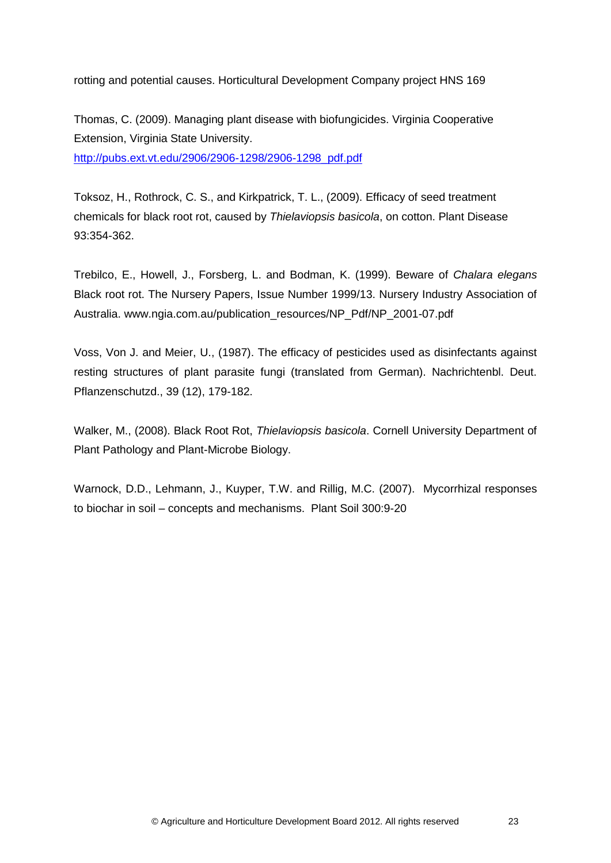rotting and potential causes. Horticultural Development Company project HNS 169

Thomas, C. (2009). Managing plant disease with biofungicides. Virginia Cooperative Extension, Virginia State University. [http://pubs.ext.vt.edu/2906/2906-1298/2906-1298\\_pdf.pdf](http://pubs.ext.vt.edu/2906/2906-1298/2906-1298_pdf.pdf)

Toksoz, H., Rothrock, C. S., and Kirkpatrick, T. L., (2009). Efficacy of seed treatment chemicals for black root rot, caused by *Thielaviopsis basicola*, on cotton. Plant Disease 93:354-362.

Trebilco, E., Howell, J., Forsberg, L. and Bodman, K. (1999). Beware of *Chalara elegans* Black root rot. The Nursery Papers, Issue Number 1999/13. Nursery Industry Association of Australia. www.ngia.com.au/publication\_resources/NP\_Pdf/NP\_2001-07.pdf

Voss, Von J. and Meier, U., (1987). The efficacy of pesticides used as disinfectants against resting structures of plant parasite fungi (translated from German). Nachrichtenbl. Deut. Pflanzenschutzd., 39 (12), 179-182.

Walker, M., (2008). Black Root Rot, *Thielaviopsis basicola*. Cornell University Department of Plant Pathology and Plant-Microbe Biology.

Warnock, D.D., Lehmann, J., Kuyper, T.W. and Rillig, M.C. (2007). Mycorrhizal responses to biochar in soil – concepts and mechanisms. Plant Soil 300:9-20